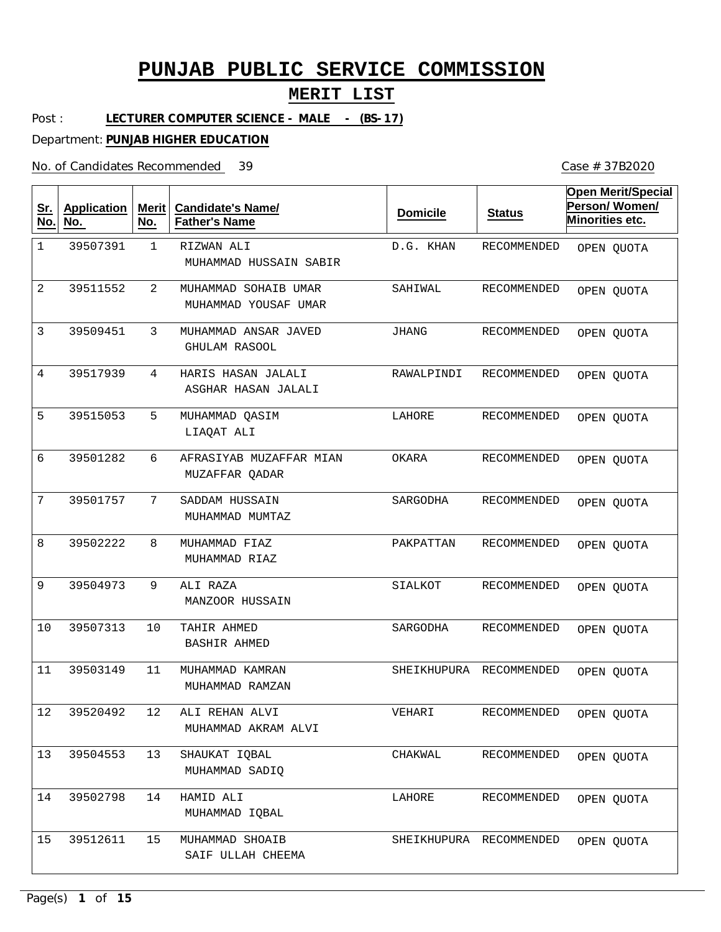## **MERIT LIST**

Post : LECTURER COMPUTER SCIENCE - MALE - (BS-17)

Department: **PUNJAB HIGHER EDUCATION**

No. of Candidates Recommended

| <u>Sr.</u><br>No. | <b>Application</b><br>No. | <b>Merit</b><br>No. | <b>Candidate's Name/</b><br><b>Father's Name</b> | <b>Domicile</b> | <b>Status</b>           | <b>Open Merit/Special</b><br>Person/Women/<br>Minorities etc. |
|-------------------|---------------------------|---------------------|--------------------------------------------------|-----------------|-------------------------|---------------------------------------------------------------|
| $\mathbf 1$       | 39507391                  | $\mathbf{1}$        | RIZWAN ALI<br>MUHAMMAD HUSSAIN SABIR             | D.G. KHAN       | <b>RECOMMENDED</b>      | OPEN QUOTA                                                    |
| 2                 | 39511552                  | $\overline{2}$      | MUHAMMAD SOHAIB UMAR<br>MUHAMMAD YOUSAF UMAR     | SAHIWAL         | <b>RECOMMENDED</b>      | OPEN QUOTA                                                    |
| 3                 | 39509451                  | 3                   | MUHAMMAD ANSAR JAVED<br><b>GHULAM RASOOL</b>     | <b>JHANG</b>    | <b>RECOMMENDED</b>      | OPEN QUOTA                                                    |
| 4                 | 39517939                  | 4                   | HARIS HASAN JALALI<br>ASGHAR HASAN JALALI        | RAWALPINDI      | <b>RECOMMENDED</b>      | OPEN QUOTA                                                    |
| 5                 | 39515053                  | 5                   | MUHAMMAD QASIM<br>LIAQAT ALI                     | LAHORE          | <b>RECOMMENDED</b>      | OPEN QUOTA                                                    |
| 6                 | 39501282                  | 6                   | AFRASIYAB MUZAFFAR MIAN<br>MUZAFFAR OADAR        | OKARA           | <b>RECOMMENDED</b>      | OPEN QUOTA                                                    |
| 7                 | 39501757                  | 7                   | SADDAM HUSSAIN<br>MUHAMMAD MUMTAZ                | SARGODHA        | RECOMMENDED             | OPEN QUOTA                                                    |
| 8                 | 39502222                  | 8                   | MUHAMMAD FIAZ<br>MUHAMMAD RIAZ                   | PAKPATTAN       | RECOMMENDED             | OPEN QUOTA                                                    |
| 9                 | 39504973                  | 9                   | ALI RAZA<br>MANZOOR HUSSAIN                      | SIALKOT         | <b>RECOMMENDED</b>      | OPEN QUOTA                                                    |
| 10                | 39507313                  | 10                  | TAHIR AHMED<br><b>BASHIR AHMED</b>               | SARGODHA        | RECOMMENDED             | OPEN QUOTA                                                    |
| 11                | 39503149                  | 11                  | MUHAMMAD KAMRAN<br>MUHAMMAD RAMZAN               | SHEIKHUPURA     | RECOMMENDED             | OPEN QUOTA                                                    |
| $1\,2$            | 39520492                  | 12                  | ALI REHAN ALVI<br>MUHAMMAD AKRAM ALVI            | VEHARI          | RECOMMENDED             | OPEN QUOTA                                                    |
| 13                | 39504553                  | 13                  | SHAUKAT IQBAL<br>MUHAMMAD SADIQ                  | CHAKWAL         | RECOMMENDED             | OPEN QUOTA                                                    |
| 14                | 39502798                  | 14                  | HAMID ALI<br>MUHAMMAD IQBAL                      | LAHORE          | RECOMMENDED             | OPEN QUOTA                                                    |
| 15                | 39512611                  | 15                  | MUHAMMAD SHOAIB<br>SAIF ULLAH CHEEMA             |                 | SHEIKHUPURA RECOMMENDED | OPEN QUOTA                                                    |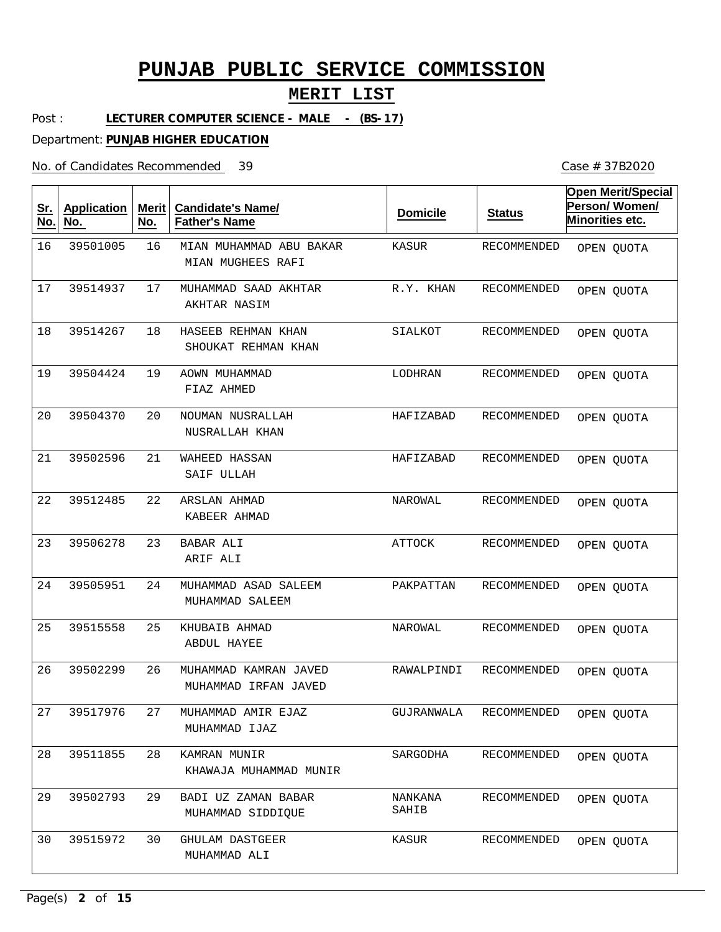## **MERIT LIST**

Post : LECTURER COMPUTER SCIENCE - MALE - (BS-17)

Department: **PUNJAB HIGHER EDUCATION**

No. of Candidates Recommended

| <u>Sr.</u><br>No. | <b>Application</b><br>No. | Merit<br>No. | <b>Candidate's Name/</b><br><b>Father's Name</b> | <b>Domicile</b>  | <b>Status</b>          | <b>Open Merit/Special</b><br>Person/Women/<br><b>Minorities etc.</b> |
|-------------------|---------------------------|--------------|--------------------------------------------------|------------------|------------------------|----------------------------------------------------------------------|
| 16                | 39501005                  | 16           | MIAN MUHAMMAD ABU BAKAR<br>MIAN MUGHEES RAFI     | <b>KASUR</b>     | RECOMMENDED            | OPEN QUOTA                                                           |
| 17                | 39514937                  | 17           | MUHAMMAD SAAD AKHTAR<br>AKHTAR NASIM             | R.Y. KHAN        | RECOMMENDED            | OPEN QUOTA                                                           |
| 18                | 39514267                  | 18           | HASEEB REHMAN KHAN<br>SHOUKAT REHMAN KHAN        | SIALKOT          | RECOMMENDED            | OPEN QUOTA                                                           |
| 19                | 39504424                  | 19           | AOWN MUHAMMAD<br>FIAZ AHMED                      | LODHRAN          | RECOMMENDED            | OPEN QUOTA                                                           |
| 20                | 39504370                  | 20           | NOUMAN NUSRALLAH<br>NUSRALLAH KHAN               | HAFIZABAD        | RECOMMENDED            | OPEN QUOTA                                                           |
| 21                | 39502596                  | 21           | <b>WAHEED HASSAN</b><br>SAIF ULLAH               | HAFIZABAD        | <b>RECOMMENDED</b>     | OPEN QUOTA                                                           |
| 22                | 39512485                  | 22           | <b>ARSLAN AHMAD</b><br>KABEER AHMAD              | <b>NAROWAL</b>   | RECOMMENDED            | OPEN QUOTA                                                           |
| 23                | 39506278                  | 23           | <b>BABAR ALI</b><br>ARIF ALI                     | <b>ATTOCK</b>    | RECOMMENDED            | OPEN QUOTA                                                           |
| 24                | 39505951                  | 24           | MUHAMMAD ASAD SALEEM<br>MUHAMMAD SALEEM          | PAKPATTAN        | RECOMMENDED            | OPEN QUOTA                                                           |
| 25                | 39515558                  | 25           | KHUBAIB AHMAD<br>ABDUL HAYEE                     | NAROWAL          | RECOMMENDED            | OPEN QUOTA                                                           |
| 26                | 39502299                  | 26           | MUHAMMAD KAMRAN JAVED<br>MUHAMMAD IRFAN JAVED    | RAWALPINDI       | RECOMMENDED            | OPEN OUOTA                                                           |
| 27                | 39517976                  | 27           | MUHAMMAD AMIR EJAZ<br>MUHAMMAD IJAZ              |                  | GUJRANWALA RECOMMENDED | OPEN QUOTA                                                           |
| 28                | 39511855                  | 28           | KAMRAN MUNIR<br>KHAWAJA MUHAMMAD MUNIR           | SARGODHA         | RECOMMENDED            | OPEN QUOTA                                                           |
| 29                | 39502793                  | 29           | BADI UZ ZAMAN BABAR<br>MUHAMMAD SIDDIQUE         | NANKANA<br>SAHIB | RECOMMENDED            | OPEN QUOTA                                                           |
| 30                | 39515972                  | 30           | <b>GHULAM DASTGEER</b><br>MUHAMMAD ALI           | KASUR            | RECOMMENDED            | OPEN QUOTA                                                           |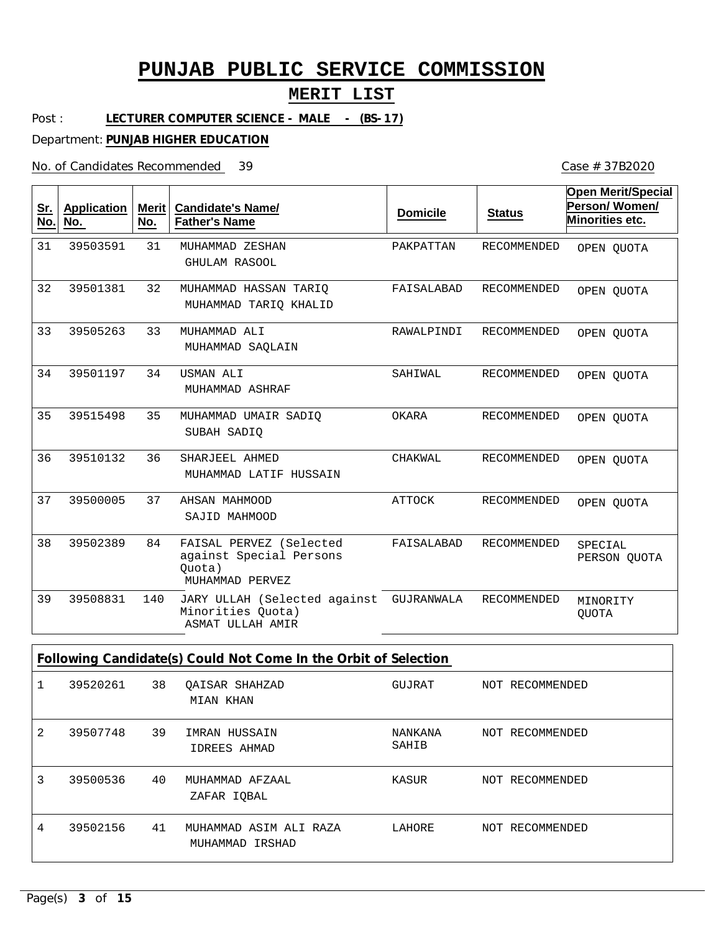## **MERIT LIST**

Case # 37B2020

Post : LECTURER COMPUTER SCIENCE - MALE - (BS-17)

Department: **PUNJAB HIGHER EDUCATION**

No. of Candidates Recommended

| <u>Sr.</u><br>No. | <b>Application</b><br>No. | <b>Merit</b><br>No. | <b>Candidate's Name/</b><br><b>Father's Name</b>                                | <b>Domicile</b> | <b>Status</b>      | <b>Open Merit/Special</b><br>Person/Women/<br>Minorities etc. |
|-------------------|---------------------------|---------------------|---------------------------------------------------------------------------------|-----------------|--------------------|---------------------------------------------------------------|
| 31                | 39503591                  | 31                  | MUHAMMAD ZESHAN<br><b>GHULAM RASOOL</b>                                         | PAKPATTAN       | RECOMMENDED        | OPEN QUOTA                                                    |
| 32                | 39501381                  | 32                  | MUHAMMAD HASSAN TARIO<br>MUHAMMAD TARIO KHALID                                  | FAISALABAD      | <b>RECOMMENDED</b> | OPEN OUOTA                                                    |
| 33                | 39505263                  | 33                  | MUHAMMAD ALI<br>MUHAMMAD SAQLAIN                                                | RAWALPINDI      | <b>RECOMMENDED</b> | OPEN QUOTA                                                    |
| 34                | 39501197                  | 34                  | USMAN ALI<br>MUHAMMAD ASHRAF                                                    | SAHIWAL         | RECOMMENDED        | OPEN QUOTA                                                    |
| 35                | 39515498                  | 35                  | MUHAMMAD UMAIR SADIO<br>SUBAH SADIO                                             | OKARA           | RECOMMENDED        | OPEN QUOTA                                                    |
| 36                | 39510132                  | 36                  | SHARJEEL AHMED<br>MUHAMMAD LATIF HUSSAIN                                        | CHAKWAL         | <b>RECOMMENDED</b> | OPEN QUOTA                                                    |
| 37                | 39500005                  | 37                  | AHSAN MAHMOOD<br>SAJID MAHMOOD                                                  | ATTOCK          | RECOMMENDED        | OPEN OUOTA                                                    |
| 38                | 39502389                  | 84                  | FAISAL PERVEZ (Selected<br>against Special Persons<br>Quota)<br>MUHAMMAD PERVEZ | FAISALABAD      | <b>RECOMMENDED</b> | SPECIAL<br>PERSON QUOTA                                       |
| 39                | 39508831                  | 140                 | JARY ULLAH (Selected against<br>Minorities Quota)<br>ASMAT ULLAH AMIR           | GUJRANWALA      | RECOMMENDED        | MINORITY<br><b>QUOTA</b>                                      |
|                   |                           |                     | Following Candidate(s) Could Not Come In the Orbit of Selection                 |                 |                    |                                                               |

|   |          |    | $\sim$ . The mind canalizate of $\sim$ , and the complete the change of servering the series of $\sim$ |                  |                 |
|---|----------|----|--------------------------------------------------------------------------------------------------------|------------------|-----------------|
|   | 39520261 | 38 | OAISAR SHAHZAD<br>MIAN KHAN                                                                            | GUJRAT           | NOT RECOMMENDED |
| 2 | 39507748 | 39 | IMRAN HUSSAIN<br>IDREES AHMAD                                                                          | NANKANA<br>SAHIB | NOT RECOMMENDED |
| 3 | 39500536 | 40 | MUHAMMAD AFZAAL<br>ZAFAR IOBAL                                                                         | KASUR            | NOT RECOMMENDED |
| 4 | 39502156 | 41 | MUHAMMAD ASIM ALI RAZA<br>MUHAMMAD IRSHAD                                                              | LAHORE           | NOT RECOMMENDED |

Page(s) **3** of **15**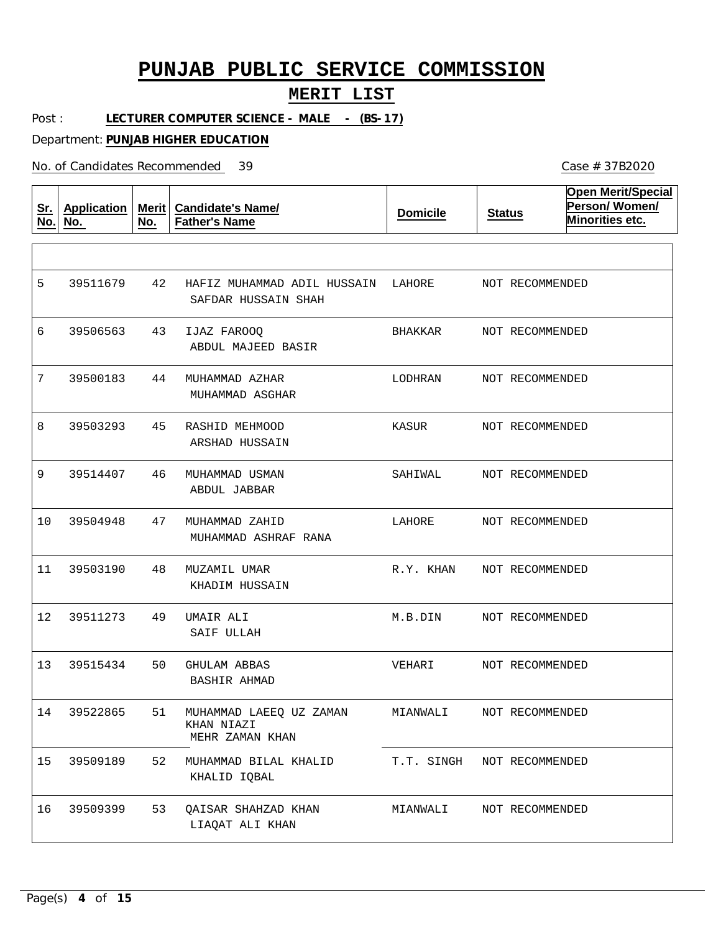#### **MERIT LIST**

Post : LECTURER COMPUTER SCIENCE - MALE - (BS-17)

Department: **PUNJAB HIGHER EDUCATION**

No. of Candidates Recommended

**Sr. No. Application No. Merit No. Candidate's Name/ Father's Name Domicile Status Open Merit/Special Person/ Women/ Minorities etc.** 42 43 IJAZ FAROOQ 44 45 46 47 48 49 50 51 52 53 QAISAR SHAHZAD KHAN HAFIZ MUHAMMAD ADIL HUSSAIN LAHORE MUHAMMAD AZHAR RASHID MEHMOOD MUHAMMAD USMAN MUHAMMAD ZAHID MUZAMIL UMAR UMAIR ALI GHULAM ABBAS MUHAMMAD LAEEQ UZ ZAMAN KHAN NIAZI MUHAMMAD BILAL KHALID SAFDAR HUSSAIN SHAH ABDUL MAJEED BASIR MUHAMMAD ASGHAR ARSHAD HUSSAIN ABDUL JABBAR MUHAMMAD ASHRAF RANA KHADIM HUSSAIN SAIF ULLAH BASHIR AHMAD MEHR ZAMAN KHAN KHALID IQBAL LIAQAT ALI KHAN 5 6 7 8 9 10 11 12 39511273 13 14 39522865 15 16 39511679 39506563 39500183 39503293 39514407 39504948 39503190 39515434 39509189 39509399 BHAKKAR LODHRAN KASUR SAHIWAL LAHORE R.Y. KHAN M.B.DIN VEHARI MIANWALI T.T. SINGH NOT RECOMMENDED MIANWALI NOT RECOMMENDED NOT RECOMMENDED NOT RECOMMENDED NOT RECOMMENDED NOT RECOMMENDED NOT RECOMMENDED NOT RECOMMENDED NOT RECOMMENDED NOT RECOMMENDED NOT RECOMMENDED NOT RECOMMENDED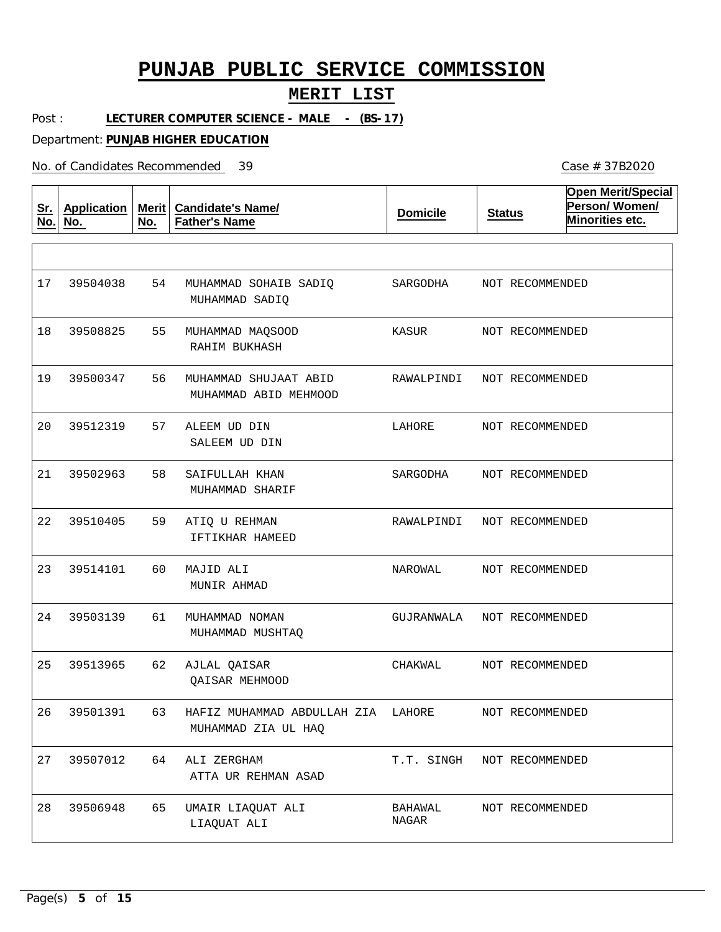#### **MERIT LIST**

Post : LECTURER COMPUTER SCIENCE - MALE - (BS-17)

Department: **PUNJAB HIGHER EDUCATION**

No. of Candidates Recommended

**Sr. No. Application No. Merit No. Candidate's Name/ Father's Name Domicile Status Open Merit/Special Person/ Women/ Minorities etc.** 54 MUHAMMAD SOHAIB SADIQ 55 MUHAMMAD MAQSOOD 56 57 58 59  $60$ 61 62 AJLAL QAISAR 63 HAFIZ MUHAMMAD ABDULLAH ZIA LAHORE 64 ALI ZERGHAM 65 MUHAMMAD SHUJAAT ABID ALEEM UD DIN SAIFULLAH KHAN ATIQ U REHMAN MAJID ALI MUHAMMAD NOMAN UMAIR LIAQUAT ALI MUHAMMAD SADIQ RAHIM BUKHASH MUHAMMAD ABID MEHMOOD SALEEM UD DIN MUHAMMAD SHARIF IFTIKHAR HAMEED MUNIR AHMAD MUHAMMAD MUSHTAQ QAISAR MEHMOOD MUHAMMAD ZIA UL HAQ ATTA UR REHMAN ASAD LIAQUAT ALI 17 18 39508825 19 20 21 22 23 24 39503139 25 26 27 39507012 28 39504038 39500347 39512319 39502963 39510405 39514101 39513965 39501391 39506948 SARGODHA KASUR RAWALPINDI LAHORE SARGODHA RAWALPINDI NAROWAL GUJRANWALA NOT RECOMMENDED CHAKWAL T.T. SINGH NOT RECOMMENDED BAHAWAL NAGAR NOT RECOMMENDED NOT RECOMMENDED NOT RECOMMENDED NOT RECOMMENDED NOT RECOMMENDED NOT RECOMMENDED NOT RECOMMENDED NOT RECOMMENDED NOT RECOMMENDED NOT RECOMMENDED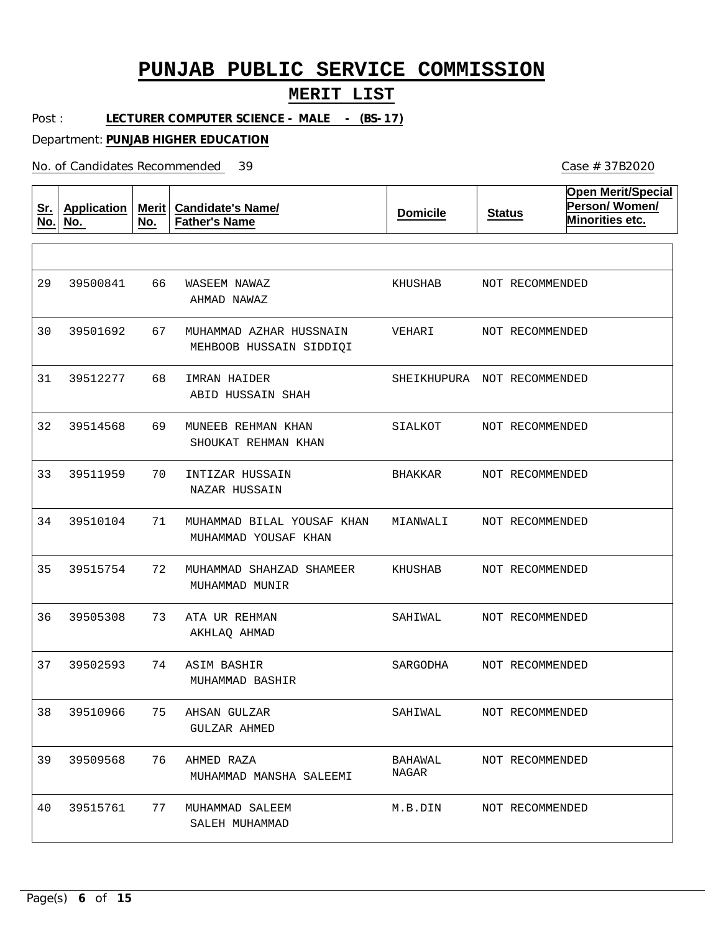## **MERIT LIST**

Post : LECTURER COMPUTER SCIENCE - MALE - (BS-17)

Department: **PUNJAB HIGHER EDUCATION**

No. of Candidates Recommended

| <u>Sr.</u><br>No. | <b>Application</b><br>No. | Merit $ $<br>No. | <b>Candidate's Name/</b><br><b>Father's Name</b>   | <b>Domicile</b>  | <b>Status</b>               | <b>Open Merit/Special</b><br>Person/Women/<br>Minorities etc. |
|-------------------|---------------------------|------------------|----------------------------------------------------|------------------|-----------------------------|---------------------------------------------------------------|
|                   |                           |                  |                                                    |                  |                             |                                                               |
| 29                | 39500841                  | 66               | WASEEM NAWAZ<br>AHMAD NAWAZ                        | KHUSHAB          | NOT RECOMMENDED             |                                                               |
| 30                | 39501692                  | 67               | MUHAMMAD AZHAR HUSSNAIN<br>MEHBOOB HUSSAIN SIDDIOI | VEHARI           | NOT RECOMMENDED             |                                                               |
| 31                | 39512277                  | 68               | IMRAN HAIDER<br>ABID HUSSAIN SHAH                  |                  | SHEIKHUPURA NOT RECOMMENDED |                                                               |
| 32                | 39514568                  | 69               | MUNEEB REHMAN KHAN<br>SHOUKAT REHMAN KHAN          | SIALKOT          | NOT RECOMMENDED             |                                                               |
| 33                | 39511959                  | 70               | INTIZAR HUSSAIN<br>NAZAR HUSSAIN                   | BHAKKAR          | NOT RECOMMENDED             |                                                               |
| 34                | 39510104                  | 71               | MUHAMMAD BILAL YOUSAF KHAN<br>MUHAMMAD YOUSAF KHAN | MIANWALI         | NOT RECOMMENDED             |                                                               |
| 35                | 39515754                  | 72               | MUHAMMAD SHAHZAD SHAMEER<br>MUHAMMAD MUNIR         | KHUSHAB          | NOT RECOMMENDED             |                                                               |
| 36                | 39505308                  | 73               | ATA UR REHMAN<br>AKHLAQ AHMAD                      | SAHIWAL          | NOT RECOMMENDED             |                                                               |
| 37                | 39502593                  | 74               | ASIM BASHIR<br>MUHAMMAD BASHIR                     | SARGODHA         | NOT RECOMMENDED             |                                                               |
| 38                | 39510966                  | 75               | AHSAN GULZAR<br>GULZAR AHMED                       | SAHIWAL          | NOT RECOMMENDED             |                                                               |
| 39                | 39509568                  | 76               | AHMED RAZA<br>MUHAMMAD MANSHA SALEEMI              | BAHAWAL<br>NAGAR | NOT RECOMMENDED             |                                                               |
| 40                | 39515761                  | 77               | MUHAMMAD SALEEM<br>SALEH MUHAMMAD                  | M.B.DIN          | NOT RECOMMENDED             |                                                               |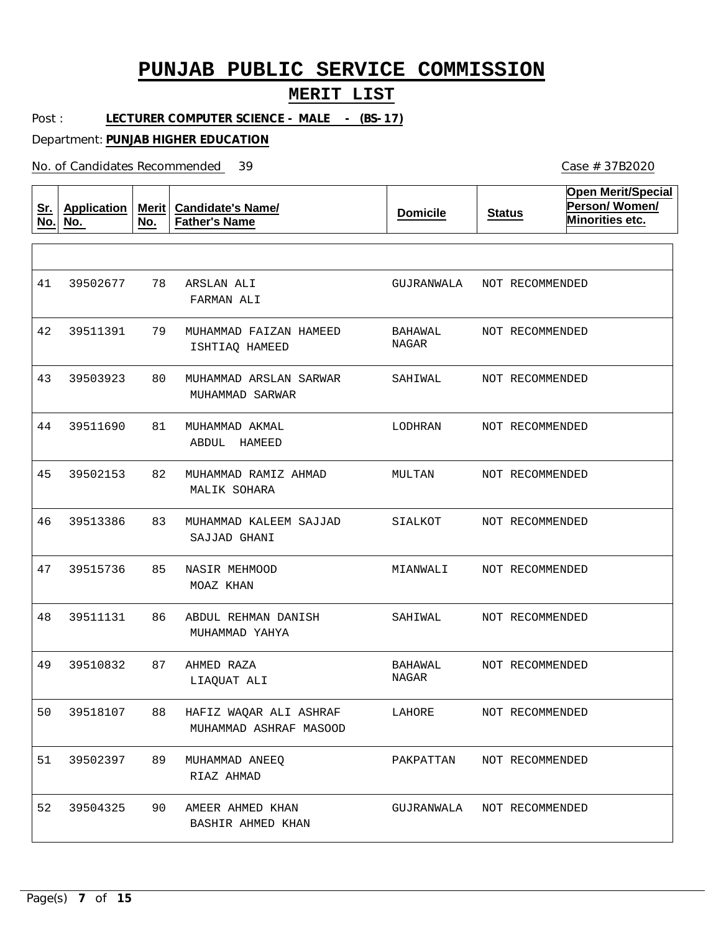## **MERIT LIST**

Case # 37B2020

Post : LECTURER COMPUTER SCIENCE - MALE - (BS-17)

Department: **PUNJAB HIGHER EDUCATION**

No. of Candidates Recommended

| <u>Sr.</u><br>No. | <b>Application</b><br>No. | Merit<br>No. | <b>Candidate's Name/</b><br><b>Father's Name</b> | <b>Domicile</b>  | <b>Status</b>   | <b>Open Merit/Special</b><br>Person/Women/<br>Minorities etc. |
|-------------------|---------------------------|--------------|--------------------------------------------------|------------------|-----------------|---------------------------------------------------------------|
|                   |                           |              |                                                  |                  |                 |                                                               |
| 41                | 39502677                  | 78           | ARSLAN ALI<br>FARMAN ALI                         | GUJRANWALA       | NOT RECOMMENDED |                                                               |
| 42                | 39511391                  | 79           | MUHAMMAD FAIZAN HAMEED<br>ISHTIAQ HAMEED         | BAHAWAL<br>NAGAR | NOT RECOMMENDED |                                                               |
| 43                | 39503923                  | 80           | MUHAMMAD ARSLAN SARWAR<br>MUHAMMAD SARWAR        | SAHIWAL          | NOT RECOMMENDED |                                                               |
| 44                | 39511690                  | 81           | MUHAMMAD AKMAL<br>ABDUL<br>HAMEED                | LODHRAN          | NOT RECOMMENDED |                                                               |
| 45                | 39502153                  | 82           | MUHAMMAD RAMIZ AHMAD<br>MALIK SOHARA             | MULTAN           | NOT RECOMMENDED |                                                               |
| 46                | 39513386                  | 83           | MUHAMMAD KALEEM SAJJAD<br>SAJJAD GHANI           | SIALKOT          | NOT RECOMMENDED |                                                               |
| 47                | 39515736                  | 85           | NASIR MEHMOOD<br>MOAZ KHAN                       | MIANWALI         | NOT RECOMMENDED |                                                               |
| 48                | 39511131                  | 86           | ABDUL REHMAN DANISH<br>MUHAMMAD YAHYA            | SAHIWAL          | NOT RECOMMENDED |                                                               |
| 49                | 39510832                  | 87           | AHMED RAZA<br>LIAQUAT ALI                        | BAHAWAL<br>NAGAR | NOT RECOMMENDED |                                                               |
| 50                | 39518107                  | 88           | HAFIZ WAQAR ALI ASHRAF<br>MUHAMMAD ASHRAF MASOOD | LAHORE           | NOT RECOMMENDED |                                                               |
| 51                | 39502397                  | 89           | MUHAMMAD ANEEQ<br>RIAZ AHMAD                     | PAKPATTAN        | NOT RECOMMENDED |                                                               |
| 52                | 39504325                  | 90           | AMEER AHMED KHAN<br>BASHIR AHMED KHAN            | GUJRANWALA       | NOT RECOMMENDED |                                                               |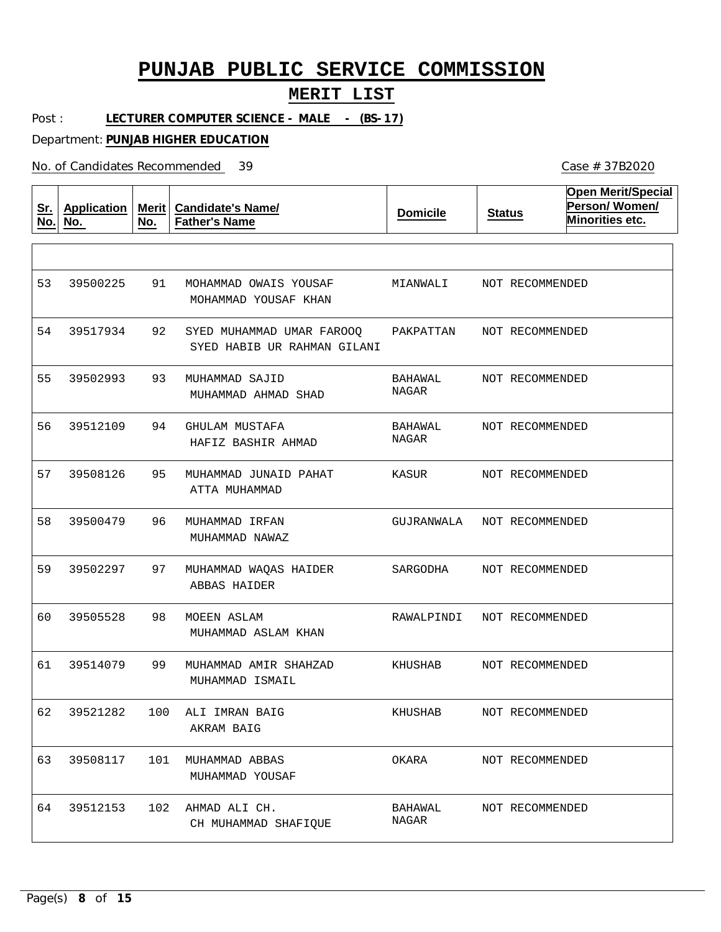#### **MERIT LIST**

Post : LECTURER COMPUTER SCIENCE - MALE - (BS-17)

Department: **PUNJAB HIGHER EDUCATION**

No. of Candidates Recommended

**Sr. No. Application No. Merit No. Candidate's Name/ Father's Name Domicile Status Open Merit/Special Person/ Women/ Minorities etc.** 91 92 93 94 95 96 97 98 99 100 ALI IMRAN BAIG 101 MUHAMMAD ABBAS 102 AHMAD ALI CH. MOHAMMAD OWAIS YOUSAF SYED MUHAMMAD UMAR FAROOQ MUHAMMAD SAJID GHULAM MUSTAFA MUHAMMAD JUNAID PAHAT MUHAMMAD IRFAN MUHAMMAD WAQAS HAIDER MOEEN ASLAM MUHAMMAD AMIR SHAHZAD MOHAMMAD YOUSAF KHAN SYED HABIB UR RAHMAN GILANI MUHAMMAD AHMAD SHAD HAFIZ BASHIR AHMAD ATTA MUHAMMAD MUHAMMAD NAWAZ ABBAS HAIDER MUHAMMAD ASLAM KHAN MUHAMMAD ISMAIL AKRAM BAIG MUHAMMAD YOUSAF CH MUHAMMAD SHAFIQUE 53 54 39517934 55 56 57 58 59 60 61 62 63 64 39500225 39502993 39512109 39508126 39500479 39502297 39505528 39514079 39521282 39508117 39512153 MIANWALI PAKPATTAN BAHAWAL NAGAR BAHAWAL NAGAR KASUR GUJRANWALA SARGODHA RAWALPINDI KHUSHAB KHUSHAB OKARA BAHAWAL NAGAR NOT RECOMMENDED NOT RECOMMENDED NOT RECOMMENDED NOT RECOMMENDED NOT RECOMMENDED NOT RECOMMENDED NOT RECOMMENDED NOT RECOMMENDED NOT RECOMMENDED NOT RECOMMENDED NOT RECOMMENDED NOT RECOMMENDED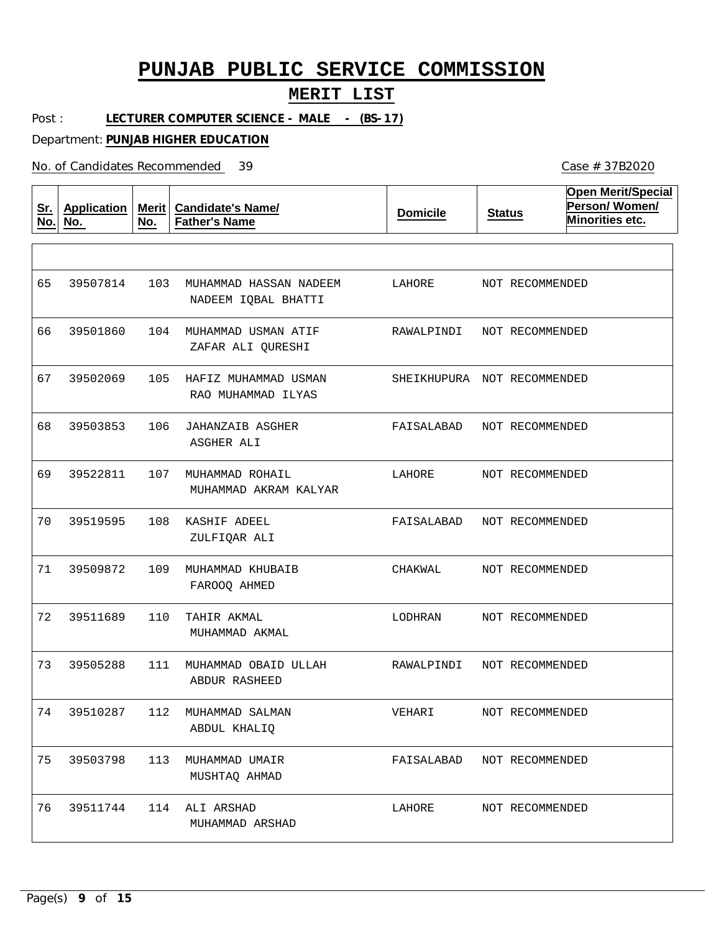#### **MERIT LIST**

Post : LECTURER COMPUTER SCIENCE - MALE - (BS-17)

Department: **PUNJAB HIGHER EDUCATION**

No. of Candidates Recommended

**Sr. No. Application No. Merit No. Candidate's Name/ Father's Name Domicile Status Open Merit/Special Person/ Women/ Minorities etc.** 103 MUHAMMAD HASSAN NADEEM 104 MUHAMMAD USMAN ATIF 105 HAFIZ MUHAMMAD USMAN 106 JAHANZAIB ASGHER 107 MUHAMMAD ROHAIL 108 KASHIF ADEEL 109 MUHAMMAD KHUBAIB 110 TAHIR AKMAL 111 MUHAMMAD OBAID ULLAH 112 MUHAMMAD SALMAN 113 MUHAMMAD UMAIR 114 ALI ARSHAD NADEEM IQBAL BHATTI ZAFAR ALI QURESHI RAO MUHAMMAD ILYAS ASGHER ALI MUHAMMAD AKRAM KALYAR ZULFIQAR ALI FAROOQ AHMED MUHAMMAD AKMAL ABDUR RASHEED ABDUL KHALIQ MUSHTAQ AHMAD MUHAMMAD ARSHAD 65 66 39501860 67 68 69 70 71 72 73 74 39510287 75 76 39507814 39502069 39503853 39522811 39519595 39509872 39511689 39505288 39503798 39511744 LAHORE RAWALPINDI SHEIKHUPURA NOT RECOMMENDED FAISALABAD NOT RECOMMENDED LAHORE FAISALABAD CHAKWAL LODHRAN RAWALPINDI VEHARI FAISALABAD NOT RECOMMENDED LAHORE NOT RECOMMENDED NOT RECOMMENDED NOT RECOMMENDED NOT RECOMMENDED NOT RECOMMENDED NOT RECOMMENDED NOT RECOMMENDED NOT RECOMMENDED NOT RECOMMENDED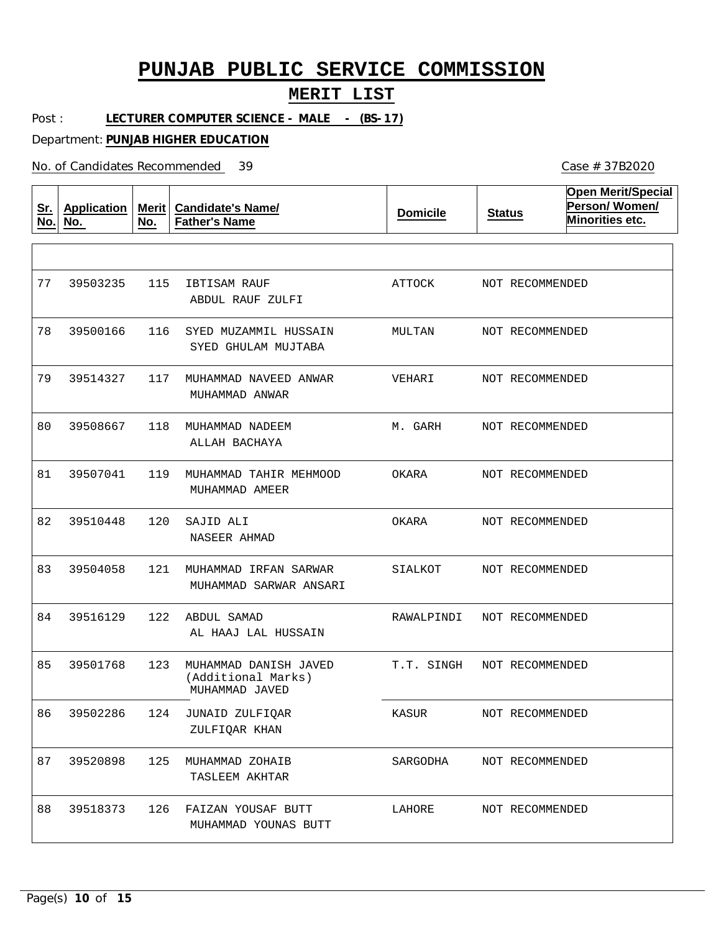## **MERIT LIST**

Post : LECTURER COMPUTER SCIENCE - MALE - (BS-17)

Department: **PUNJAB HIGHER EDUCATION**

No. of Candidates Recommended

| <u>Sr.</u><br>No. | <b>Application</b><br>No. | Merit<br>No. | <b>Candidate's Name/</b><br><b>Father's Name</b>              | <b>Domicile</b> | <b>Status</b>   | <b>Open Merit/Special</b><br>Person/Women/<br>Minorities etc. |
|-------------------|---------------------------|--------------|---------------------------------------------------------------|-----------------|-----------------|---------------------------------------------------------------|
|                   |                           |              |                                                               |                 |                 |                                                               |
| 77                | 39503235                  | 115          | IBTISAM RAUF<br>ABDUL RAUF ZULFI                              | ATTOCK          | NOT RECOMMENDED |                                                               |
| 78                | 39500166                  | 116          | SYED MUZAMMIL HUSSAIN<br>SYED GHULAM MUJTABA                  | MULTAN          | NOT RECOMMENDED |                                                               |
| 79                | 39514327                  | 117          | MUHAMMAD NAVEED ANWAR<br>MUHAMMAD ANWAR                       | VEHARI          | NOT RECOMMENDED |                                                               |
| 80                | 39508667                  | 118          | MUHAMMAD NADEEM<br>ALLAH BACHAYA                              | M. GARH         | NOT RECOMMENDED |                                                               |
| 81                | 39507041                  | 119          | MUHAMMAD TAHIR MEHMOOD<br>MUHAMMAD AMEER                      | OKARA           | NOT RECOMMENDED |                                                               |
| 82                | 39510448                  | 120          | SAJID ALI<br>NASEER AHMAD                                     | OKARA           | NOT RECOMMENDED |                                                               |
| 83                | 39504058                  | 121          | MUHAMMAD IRFAN SARWAR<br>MUHAMMAD SARWAR ANSARI               | SIALKOT         | NOT RECOMMENDED |                                                               |
| 84                | 39516129                  | 122          | ABDUL SAMAD<br>AL HAAJ LAL HUSSAIN                            | RAWALPINDI      | NOT RECOMMENDED |                                                               |
| 85                | 39501768                  | 123          | MUHAMMAD DANISH JAVED<br>(Additional Marks)<br>MUHAMMAD JAVED | T.T. SINGH      | NOT RECOMMENDED |                                                               |
| 86                | 39502286                  |              | 124 JUNAID ZULFIQAR<br>ZULFIQAR KHAN                          | KASUR           | NOT RECOMMENDED |                                                               |
| 87                | 39520898                  | 125          | MUHAMMAD ZOHAIB<br>TASLEEM AKHTAR                             | SARGODHA        | NOT RECOMMENDED |                                                               |
| 88                | 39518373                  | 126          | FAIZAN YOUSAF BUTT<br>MUHAMMAD YOUNAS BUTT                    | LAHORE          | NOT RECOMMENDED |                                                               |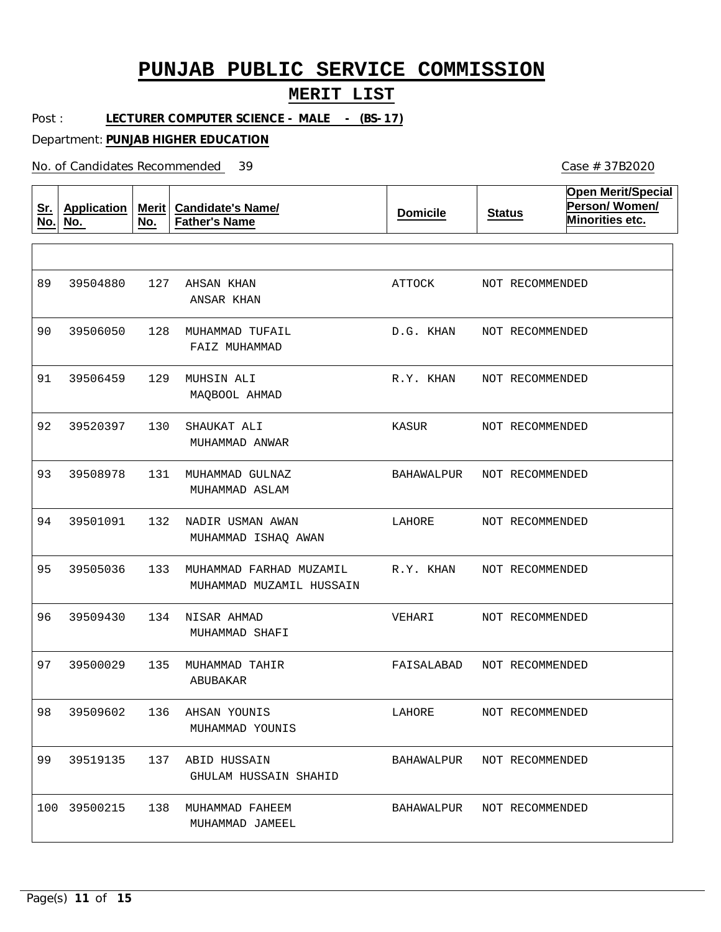## **MERIT LIST**

Post : LECTURER COMPUTER SCIENCE - MALE - (BS-17)

Department: **PUNJAB HIGHER EDUCATION**

No. of Candidates Recommended

| <u>Sr.</u><br>No. | <b>Application</b><br>No. | Merit<br>No. | <b>Candidate's Name/</b><br><b>Father's Name</b>    | <b>Domicile</b> | <b>Status</b>              | <b>Open Merit/Special</b><br>Person/Women/<br>Minorities etc. |
|-------------------|---------------------------|--------------|-----------------------------------------------------|-----------------|----------------------------|---------------------------------------------------------------|
|                   |                           |              |                                                     |                 |                            |                                                               |
| 89                | 39504880                  | 127          | AHSAN KHAN<br>ANSAR KHAN                            | ATTOCK          | NOT RECOMMENDED            |                                                               |
| 90                | 39506050                  | 128          | MUHAMMAD TUFAIL<br>FAIZ MUHAMMAD                    | D.G. KHAN       | NOT RECOMMENDED            |                                                               |
| 91                | 39506459                  | 129          | MUHSIN ALI<br>MAQBOOL AHMAD                         | R.Y. KHAN       | NOT RECOMMENDED            |                                                               |
| 92                | 39520397                  | 130          | SHAUKAT ALI<br>MUHAMMAD ANWAR                       | KASUR           | NOT RECOMMENDED            |                                                               |
| 93                | 39508978                  | 131          | MUHAMMAD GULNAZ<br>MUHAMMAD ASLAM                   | BAHAWALPUR      | NOT RECOMMENDED            |                                                               |
| 94                | 39501091                  | 132          | NADIR USMAN AWAN<br>MUHAMMAD ISHAQ AWAN             | LAHORE          | NOT RECOMMENDED            |                                                               |
| 95                | 39505036                  | 133          | MUHAMMAD FARHAD MUZAMIL<br>MUHAMMAD MUZAMIL HUSSAIN | R.Y. KHAN       | NOT RECOMMENDED            |                                                               |
| 96                | 39509430                  | 134          | NISAR AHMAD<br>MUHAMMAD SHAFI                       | VEHARI          | NOT RECOMMENDED            |                                                               |
| 97                | 39500029                  | 135          | MUHAMMAD TAHIR<br>ABUBAKAR                          | FAISALABAD      | NOT RECOMMENDED            |                                                               |
| 98                | 39509602                  | 136          | AHSAN YOUNIS<br>MUHAMMAD YOUNIS                     | LAHORE          | NOT RECOMMENDED            |                                                               |
| 99                | 39519135                  | 137          | ABID HUSSAIN<br>GHULAM HUSSAIN SHAHID               |                 | BAHAWALPUR NOT RECOMMENDED |                                                               |
|                   | 100 39500215              | 138          | MUHAMMAD FAHEEM<br>MUHAMMAD JAMEEL                  |                 | BAHAWALPUR NOT RECOMMENDED |                                                               |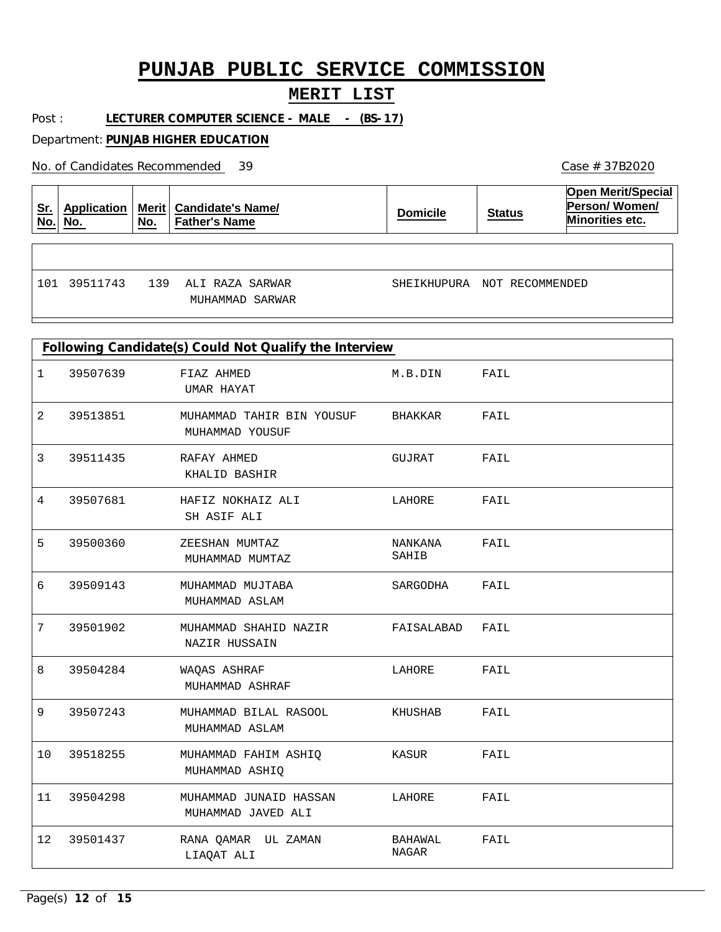### **MERIT LIST**

Post : LECTURER COMPUTER SCIENCE - MALE - (BS-17)

Department: **PUNJAB HIGHER EDUCATION**

No. of Candidates Recommended

| <u>Sr.</u><br><u>No.</u> | No.      | No. | Application   Merit   Candidate's Name/<br><b>Father's Name</b> | <b>Domicile</b>             | <b>Status</b> | <b>Open Merit/Special</b><br>Person/Women/<br>Minorities etc. |
|--------------------------|----------|-----|-----------------------------------------------------------------|-----------------------------|---------------|---------------------------------------------------------------|
|                          |          |     |                                                                 |                             |               |                                                               |
| 101                      | 39511743 | 139 | ALI RAZA SARWAR<br>MUHAMMAD SARWAR                              | SHEIKHUPURA NOT RECOMMENDED |               |                                                               |

| Following Candidate(s) Could Not Qualify the Interview |          |                                              |                  |      |  |  |  |
|--------------------------------------------------------|----------|----------------------------------------------|------------------|------|--|--|--|
| $\mathbf 1$                                            | 39507639 | FIAZ AHMED<br>UMAR HAYAT                     | M.B.DIN          | FAIL |  |  |  |
| $\overline{2}$                                         | 39513851 | MUHAMMAD TAHIR BIN YOUSUF<br>MUHAMMAD YOUSUF | BHAKKAR          | FAIL |  |  |  |
| 3                                                      | 39511435 | RAFAY AHMED<br>KHALID BASHIR                 | GUJRAT           | FAIL |  |  |  |
| 4                                                      | 39507681 | HAFIZ NOKHAIZ ALI<br>SH ASIF ALI             | LAHORE           | FAIL |  |  |  |
| 5                                                      | 39500360 | ZEESHAN MUMTAZ<br>MUHAMMAD MUMTAZ            | NANKANA<br>SAHIB | FAIL |  |  |  |
| 6                                                      | 39509143 | MUHAMMAD MUJTABA<br>MUHAMMAD ASLAM           | SARGODHA         | FAIL |  |  |  |
| 7                                                      | 39501902 | MUHAMMAD SHAHID NAZIR<br>NAZIR HUSSAIN       | FAISALABAD FAIL  |      |  |  |  |
| 8                                                      | 39504284 | WAQAS ASHRAF<br>MUHAMMAD ASHRAF              | LAHORE           | FAIL |  |  |  |
| 9                                                      | 39507243 | MUHAMMAD BILAL RASOOL<br>MUHAMMAD ASLAM      | KHUSHAB          | FAIL |  |  |  |
| 10                                                     | 39518255 | MUHAMMAD FAHIM ASHIQ<br>MUHAMMAD ASHIQ       | KASUR            | FAIL |  |  |  |
| 11                                                     | 39504298 | MUHAMMAD JUNAID HASSAN<br>MUHAMMAD JAVED ALI | LAHORE           | FAIL |  |  |  |
| $12 \overline{ }$                                      | 39501437 | RANA QAMAR UL ZAMAN<br>LIAQAT ALI            | BAHAWAL<br>NAGAR | FAIL |  |  |  |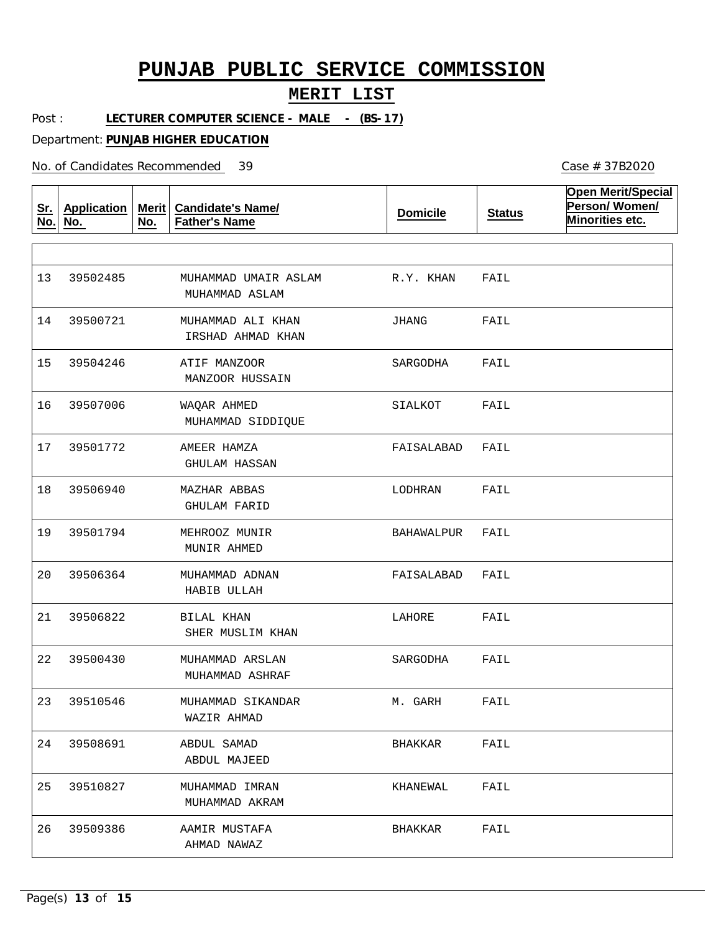#### **MERIT LIST**

Post : LECTURER COMPUTER SCIENCE - MALE - (BS-17)

Department: **PUNJAB HIGHER EDUCATION**

No. of Candidates Recommended

**Sr. No. Application No. Merit No. Candidate's Name/ Father's Name Domicile Status Open Merit/Special Person/ Women/ Minorities etc.** MUHAMMAD UMAIR ASLAM MUHAMMAD ALI KHAN ATIF MANZOOR WAQAR AHMED AMEER HAMZA MAZHAR ABBAS MEHROOZ MUNIR MUHAMMAD ADNAN BILAL KHAN MUHAMMAD ARSLAN MUHAMMAD SIKANDAR ABDUL SAMAD MUHAMMAD IMRAN AAMIR MUSTAFA MUHAMMAD ASLAM IRSHAD AHMAD KHAN MANZOOR HUSSAIN MUHAMMAD SIDDIQUE GHULAM HASSAN GHULAM FARID MUNIR AHMED HABIB ULLAH SHER MUSLIM KHAN MUHAMMAD ASHRAF WAZIR AHMAD ABDUL MAJEED MUHAMMAD AKRAM AHMAD NAWAZ 13 14 15 16 39507006 17 18 19 20 21 22 23 24 25 26 39502485 39500721 39504246 39501772 39506940 39501794 39506364 39506822 39500430 39510546 39508691 39510827 39509386 R.Y. KHAN JHANG SARGODHA SIALKOT FAISALABAD LODHRAN BAHAWALPUR FAISALABAD LAHORE SARGODHA M. GARH BHAKKAR KHANEWAL BHAKKAR FAIL FAIL FAIL FAIL FAIL FAIL FAIL FAIL FAIL FAIL FAIL FAIL FAIL FAIL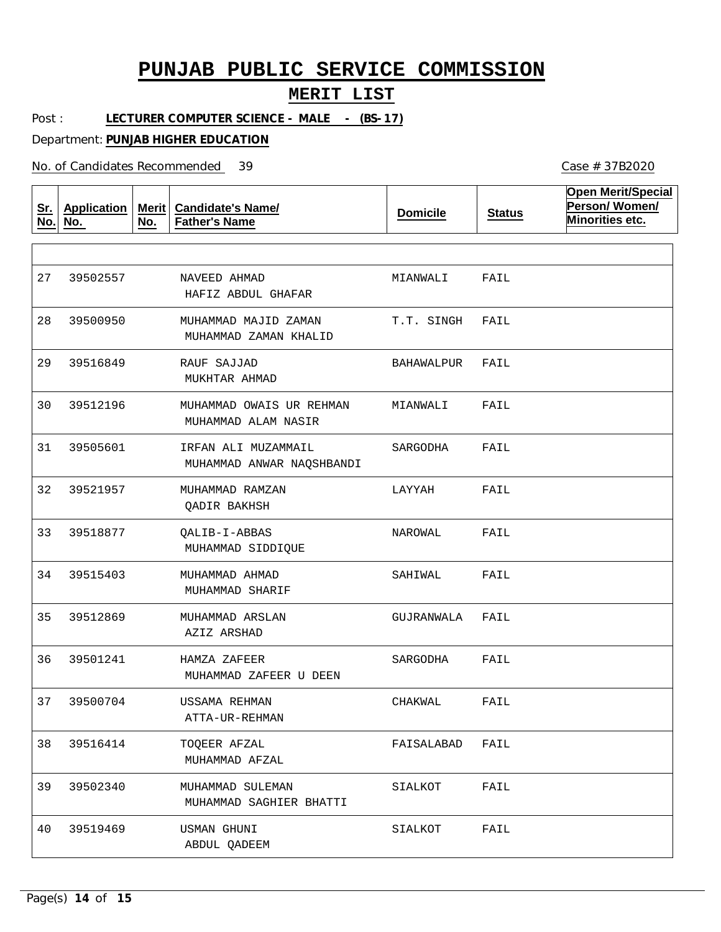#### **MERIT LIST**

Post : LECTURER COMPUTER SCIENCE - MALE - (BS-17)

Department: **PUNJAB HIGHER EDUCATION**

No. of Candidates Recommended

**Sr. No. Application No. Merit No. Candidate's Name/ Father's Name Domicile Status Open Merit/Special Person/ Women/ Minorities etc.** NAVEED AHMAD MUHAMMAD MAJID ZAMAN RAUF SAJJAD MUHAMMAD OWAIS UR REHMAN IRFAN ALI MUZAMMAIL MUHAMMAD RAMZAN QALIB-I-ABBAS MUHAMMAD AHMAD MUHAMMAD ARSLAN HAMZA ZAFEER USSAMA REHMAN TOQEER AFZAL MUHAMMAD SULEMAN USMAN GHUNI HAFIZ ABDUL GHAFAR MUHAMMAD ZAMAN KHALID MUKHTAR AHMAD MUHAMMAD ALAM NASIR MUHAMMAD ANWAR NAQSHBANDI QADIR BAKHSH MUHAMMAD SIDDIQUE MUHAMMAD SHARIF AZIZ ARSHAD MUHAMMAD ZAFEER U DEEN ATTA-UR-REHMAN MUHAMMAD AFZAL MUHAMMAD SAGHIER BHATTI ABDUL QADEEM 27 28 29 30 39512196 31 32 33 34 35 36 37 38 39 40 39502557 39500950 39516849 39505601 39521957 39518877 39515403 39512869 39501241 39500704 39516414 39502340 39519469 MIANWALI T.T. SINGH BAHAWALPUR MIANWALI SARGODHA LAYYAH NAROWAL SAHIWAL GUJRANWALA SARGODHA CHAKWAL FAISALABAD SIALKOT SIALKOT FAIL FAIL FAIL FAIL FAIL FAIL FAIL FAIL FAIL FAIL FAIL FAIL FAIL FAIL